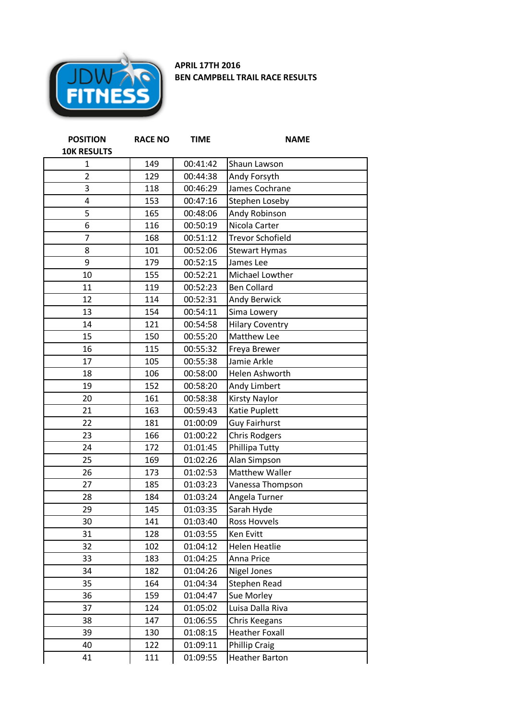

## **APRIL 17TH 2016 BEN CAMPBELL TRAIL RACE RESULTS**

| <b>POSITION</b>    | <b>RACE NO</b> | <b>TIME</b> | <b>NAME</b>             |
|--------------------|----------------|-------------|-------------------------|
| <b>10K RESULTS</b> |                |             |                         |
| $\mathbf{1}$       | 149            | 00:41:42    | Shaun Lawson            |
| $\overline{2}$     | 129            | 00:44:38    | Andy Forsyth            |
| 3                  | 118            | 00:46:29    | James Cochrane          |
| 4                  | 153            | 00:47:16    | <b>Stephen Loseby</b>   |
| 5                  | 165            | 00:48:06    | Andy Robinson           |
| 6                  | 116            | 00:50:19    | Nicola Carter           |
| $\overline{7}$     | 168            | 00:51:12    | <b>Trevor Schofield</b> |
| 8                  | 101            | 00:52:06    | <b>Stewart Hymas</b>    |
| 9                  | 179            | 00:52:15    | James Lee               |
| 10                 | 155            | 00:52:21    | Michael Lowther         |
| 11                 | 119            | 00:52:23    | <b>Ben Collard</b>      |
| 12                 | 114            | 00:52:31    | <b>Andy Berwick</b>     |
| 13                 | 154            | 00:54:11    | Sima Lowery             |
| 14                 | 121            | 00:54:58    | <b>Hilary Coventry</b>  |
| 15                 | 150            | 00:55:20    | Matthew Lee             |
| 16                 | 115            | 00:55:32    | Freya Brewer            |
| 17                 | 105            | 00:55:38    | Jamie Arkle             |
| 18                 | 106            | 00:58:00    | Helen Ashworth          |
| 19                 | 152            | 00:58:20    | Andy Limbert            |
| 20                 | 161            | 00:58:38    | Kirsty Naylor           |
| 21                 | 163            | 00:59:43    | Katie Puplett           |
| 22                 | 181            | 01:00:09    | <b>Guy Fairhurst</b>    |
| 23                 | 166            | 01:00:22    | <b>Chris Rodgers</b>    |
| 24                 | 172            | 01:01:45    | Phillipa Tutty          |
| 25                 | 169            | 01:02:26    | Alan Simpson            |
| 26                 | 173            | 01:02:53    | <b>Matthew Waller</b>   |
| 27                 | 185            | 01:03:23    | Vanessa Thompson        |
| 28                 | 184            | 01:03:24    | Angela Turner           |
| 29                 | 145            | 01:03:35    | Sarah Hyde              |
| 30                 | 141            | 01:03:40    | Ross Hovvels            |
| 31                 | 128            | 01:03:55    | Ken Evitt               |
| 32                 | 102            | 01:04:12    | <b>Helen Heatlie</b>    |
| 33                 | 183            | 01:04:25    | Anna Price              |
| 34                 | 182            | 01:04:26    | <b>Nigel Jones</b>      |
| 35                 | 164            | 01:04:34    | Stephen Read            |
| 36                 | 159            | 01:04:47    | Sue Morley              |
| 37                 | 124            | 01:05:02    | Luisa Dalla Riva        |
| 38                 | 147            | 01:06:55    | Chris Keegans           |
| 39                 | 130            | 01:08:15    | <b>Heather Foxall</b>   |
| 40                 | 122            | 01:09:11    | <b>Phillip Craig</b>    |
| 41                 | 111            | 01:09:55    | <b>Heather Barton</b>   |
|                    |                |             |                         |